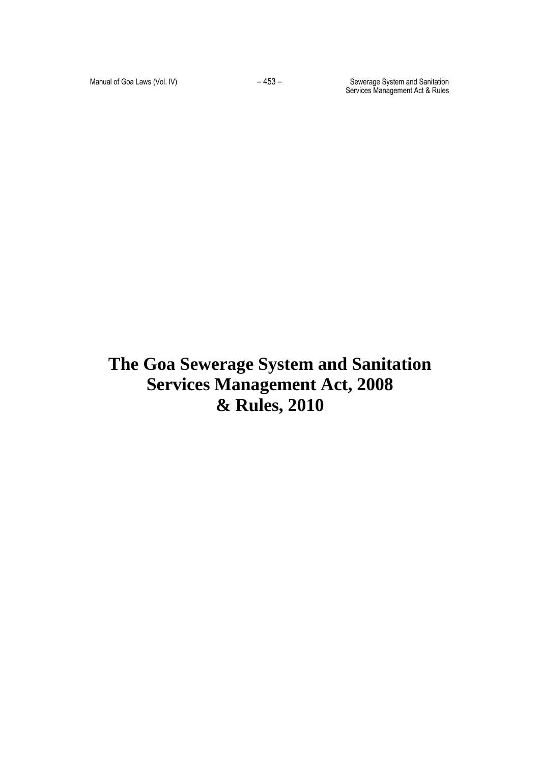Manual of Goa Laws (Vol. IV) – 453 – Sewerage System and Sanitation Services Management Act & Rules

# **The Goa Sewerage System and Sanitation Services Management Act, 2008 & Rules, 2010**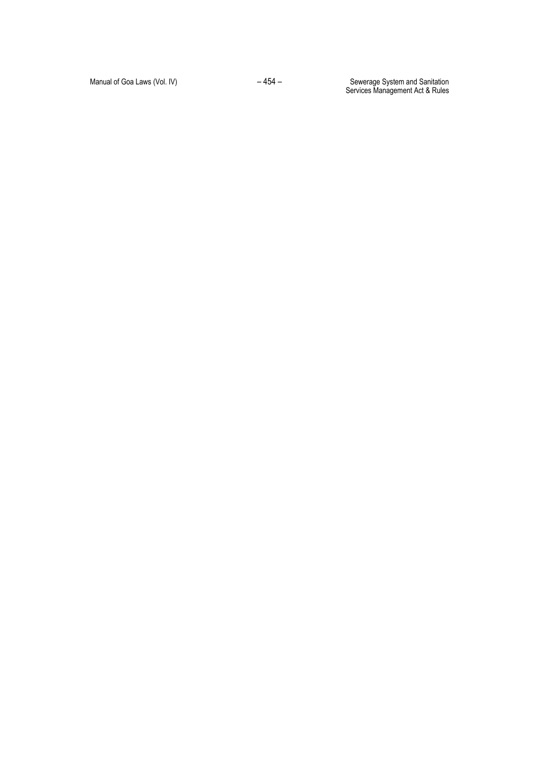Manual of Goa Laws (Vol. IV)

– Sewerage System and Sanitation Services Management Act & Rules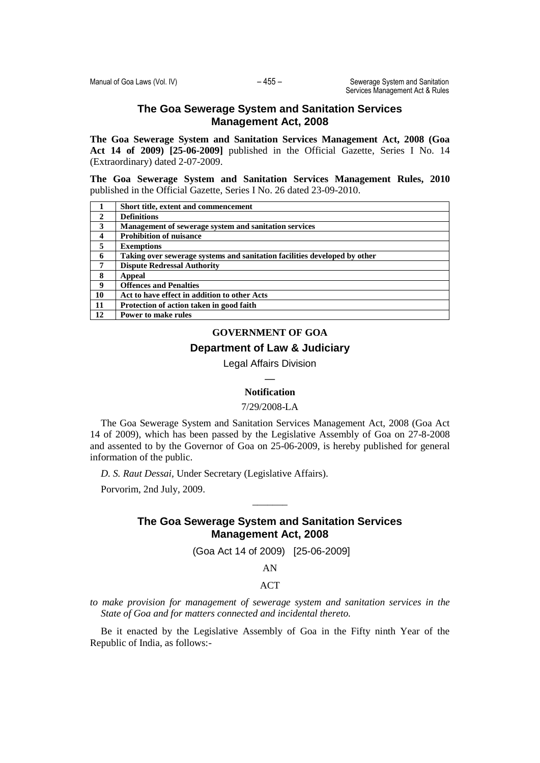# **The Goa Sewerage System and Sanitation Services Management Act, 2008**

**The Goa Sewerage System and Sanitation Services Management Act, 2008 (Goa Act 14 of 2009) [25-06-2009]** published in the Official Gazette, Series I No. 14 (Extraordinary) dated 2-07-2009.

**The Goa Sewerage System and Sanitation Services Management Rules, 2010** published in the Official Gazette, Series I No. 26 dated 23-09-2010.

|                  | Short title, extent and commencement                                      |
|------------------|---------------------------------------------------------------------------|
| 2                | <b>Definitions</b>                                                        |
| 3                | Management of sewerage system and sanitation services                     |
| $\boldsymbol{4}$ | <b>Prohibition of nuisance</b>                                            |
| 5                | <b>Exemptions</b>                                                         |
| 6                | Taking over sewerage systems and sanitation facilities developed by other |
|                  | <b>Dispute Redressal Authority</b>                                        |
| 8                | Appeal                                                                    |
| 9                | <b>Offences and Penalties</b>                                             |
| 10               | Act to have effect in addition to other Acts                              |
| -11              | Protection of action taken in good faith                                  |
| 12               | Power to make rules                                                       |

## **GOVERNMENT OF GOA**

## **Department of Law & Judiciary**

Legal Affairs Division **\_\_**

#### **Notification**

#### 7/29/2008-LA

The Goa Sewerage System and Sanitation Services Management Act, 2008 (Goa Act 14 of 2009), which has been passed by the Legislative Assembly of Goa on 27-8-2008 and assented to by the Governor of Goa on 25-06-2009, is hereby published for general information of the public.

*D. S. Raut Dessai,* Under Secretary (Legislative Affairs).

Porvorim, 2nd July, 2009.

# **The Goa Sewerage System and Sanitation Services Management Act, 2008**

 $\overline{\phantom{a}}$ 

(Goa Act 14 of 2009) [25-06-2009]

AN

#### ACT

*to make provision for management of sewerage system and sanitation services in the State of Goa and for matters connected and incidental thereto.*

Be it enacted by the Legislative Assembly of Goa in the Fifty ninth Year of the Republic of India, as follows:-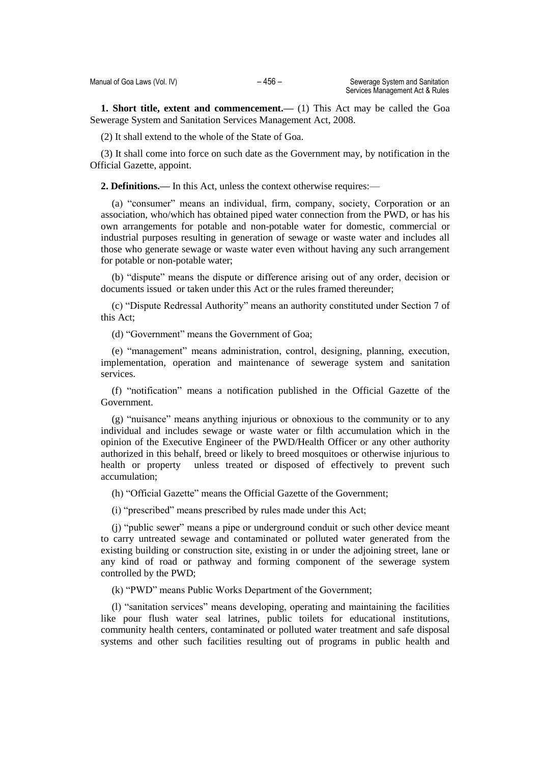**1. Short title, extent and commencement.—** (1) This Act may be called the Goa Sewerage System and Sanitation Services Management Act, 2008.

(2) It shall extend to the whole of the State of Goa.

(3) It shall come into force on such date as the Government may, by notification in the Official Gazette, appoint.

**2. Definitions.—** In this Act, unless the context otherwise requires:—

(a) "consumer" means an individual, firm, company, society, Corporation or an association, who/which has obtained piped water connection from the PWD, or has his own arrangements for potable and non-potable water for domestic, commercial or industrial purposes resulting in generation of sewage or waste water and includes all those who generate sewage or waste water even without having any such arrangement for potable or non-potable water;

(b) "dispute" means the dispute or difference arising out of any order, decision or documents issued or taken under this Act or the rules framed thereunder;

(c) "Dispute Redressal Authority" means an authority constituted under Section 7 of this Act;

(d) "Government" means the Government of Goa:

(e) "management" means administration, control, designing, planning, execution, implementation, operation and maintenance of sewerage system and sanitation services.

(f) ―notification‖ means a notification published in the Official Gazette of the Government.

 $(g)$  "nuisance" means anything injurious or obnoxious to the community or to any individual and includes sewage or waste water or filth accumulation which in the opinion of the Executive Engineer of the PWD/Health Officer or any other authority authorized in this behalf, breed or likely to breed mosquitoes or otherwise injurious to health or property unless treated or disposed of effectively to prevent such accumulation;

(h) "Official Gazette" means the Official Gazette of the Government;

(i) "prescribed" means prescribed by rules made under this Act;

(i) "public sewer" means a pipe or underground conduit or such other device meant to carry untreated sewage and contaminated or polluted water generated from the existing building or construction site, existing in or under the adjoining street, lane or any kind of road or pathway and forming component of the sewerage system controlled by the PWD;

(k) "PWD" means Public Works Department of the Government;

(I) "sanitation services" means developing, operating and maintaining the facilities like pour flush water seal latrines, public toilets for educational institutions, community health centers, contaminated or polluted water treatment and safe disposal systems and other such facilities resulting out of programs in public health and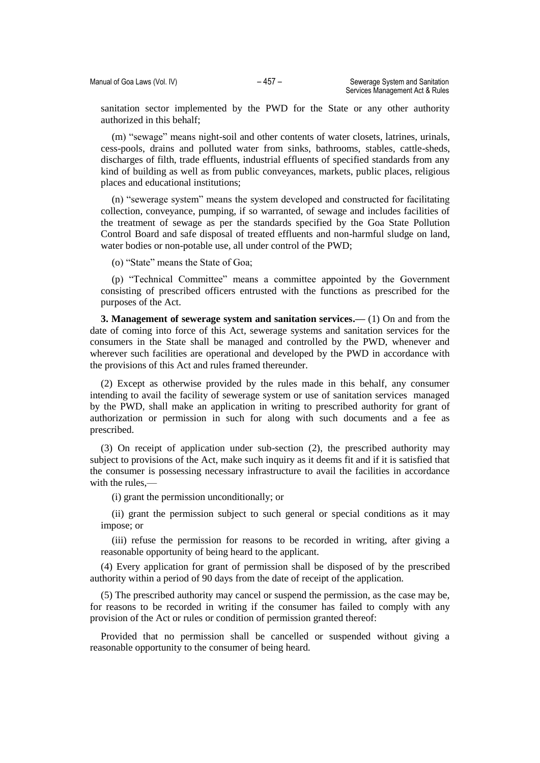sanitation sector implemented by the PWD for the State or any other authority authorized in this behalf;

(m) "sewage" means night-soil and other contents of water closets, latrines, urinals, cess-pools, drains and polluted water from sinks, bathrooms, stables, cattle-sheds, discharges of filth, trade effluents, industrial effluents of specified standards from any kind of building as well as from public conveyances, markets, public places, religious places and educational institutions;

(n) "sewerage system" means the system developed and constructed for facilitating collection, conveyance, pumping, if so warranted, of sewage and includes facilities of the treatment of sewage as per the standards specified by the Goa State Pollution Control Board and safe disposal of treated effluents and non-harmful sludge on land, water bodies or non-potable use, all under control of the PWD;

(o) "State" means the State of Goa;

(p) "Technical Committee" means a committee appointed by the Government consisting of prescribed officers entrusted with the functions as prescribed for the purposes of the Act.

**3. Management of sewerage system and sanitation services.—** (1) On and from the date of coming into force of this Act, sewerage systems and sanitation services for the consumers in the State shall be managed and controlled by the PWD, whenever and wherever such facilities are operational and developed by the PWD in accordance with the provisions of this Act and rules framed thereunder.

(2) Except as otherwise provided by the rules made in this behalf, any consumer intending to avail the facility of sewerage system or use of sanitation services managed by the PWD, shall make an application in writing to prescribed authority for grant of authorization or permission in such for along with such documents and a fee as prescribed.

(3) On receipt of application under sub-section (2), the prescribed authority may subject to provisions of the Act, make such inquiry as it deems fit and if it is satisfied that the consumer is possessing necessary infrastructure to avail the facilities in accordance with the rules,—

(i) grant the permission unconditionally; or

(ii) grant the permission subject to such general or special conditions as it may impose; or

(iii) refuse the permission for reasons to be recorded in writing, after giving a reasonable opportunity of being heard to the applicant.

(4) Every application for grant of permission shall be disposed of by the prescribed authority within a period of 90 days from the date of receipt of the application.

(5) The prescribed authority may cancel or suspend the permission, as the case may be, for reasons to be recorded in writing if the consumer has failed to comply with any provision of the Act or rules or condition of permission granted thereof:

Provided that no permission shall be cancelled or suspended without giving a reasonable opportunity to the consumer of being heard.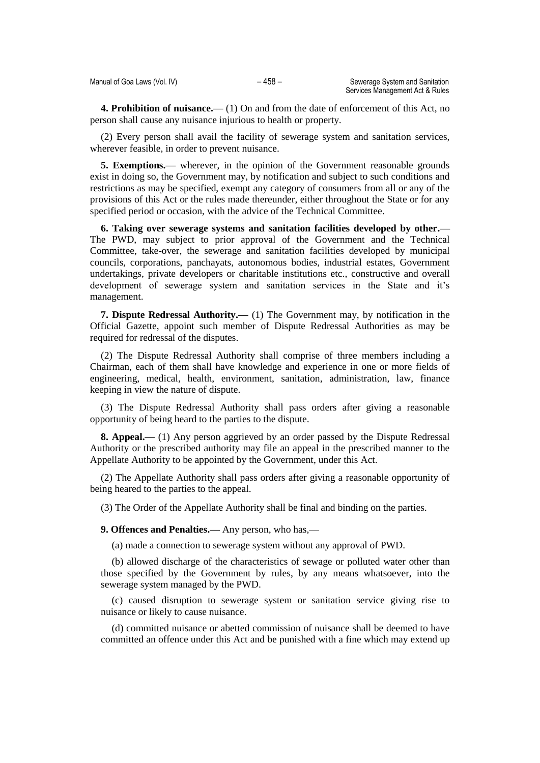**4. Prohibition of nuisance.—** (1) On and from the date of enforcement of this Act, no person shall cause any nuisance injurious to health or property.

(2) Every person shall avail the facility of sewerage system and sanitation services, wherever feasible, in order to prevent nuisance.

**5. Exemptions.—** wherever, in the opinion of the Government reasonable grounds exist in doing so, the Government may, by notification and subject to such conditions and restrictions as may be specified, exempt any category of consumers from all or any of the provisions of this Act or the rules made thereunder, either throughout the State or for any specified period or occasion, with the advice of the Technical Committee.

**6. Taking over sewerage systems and sanitation facilities developed by other.—** The PWD, may subject to prior approval of the Government and the Technical Committee, take-over, the sewerage and sanitation facilities developed by municipal councils, corporations, panchayats, autonomous bodies, industrial estates, Government undertakings, private developers or charitable institutions etc., constructive and overall development of sewerage system and sanitation services in the State and it's management.

**7. Dispute Redressal Authority.—** (1) The Government may, by notification in the Official Gazette, appoint such member of Dispute Redressal Authorities as may be required for redressal of the disputes.

(2) The Dispute Redressal Authority shall comprise of three members including a Chairman, each of them shall have knowledge and experience in one or more fields of engineering, medical, health, environment, sanitation, administration, law, finance keeping in view the nature of dispute.

(3) The Dispute Redressal Authority shall pass orders after giving a reasonable opportunity of being heard to the parties to the dispute.

**8. Appeal.—** (1) Any person aggrieved by an order passed by the Dispute Redressal Authority or the prescribed authority may file an appeal in the prescribed manner to the Appellate Authority to be appointed by the Government, under this Act.

(2) The Appellate Authority shall pass orders after giving a reasonable opportunity of being heared to the parties to the appeal.

(3) The Order of the Appellate Authority shall be final and binding on the parties.

**9. Offences and Penalties.—** Any person, who has,—

(a) made a connection to sewerage system without any approval of PWD.

(b) allowed discharge of the characteristics of sewage or polluted water other than those specified by the Government by rules, by any means whatsoever, into the sewerage system managed by the PWD.

(c) caused disruption to sewerage system or sanitation service giving rise to nuisance or likely to cause nuisance.

(d) committed nuisance or abetted commission of nuisance shall be deemed to have committed an offence under this Act and be punished with a fine which may extend up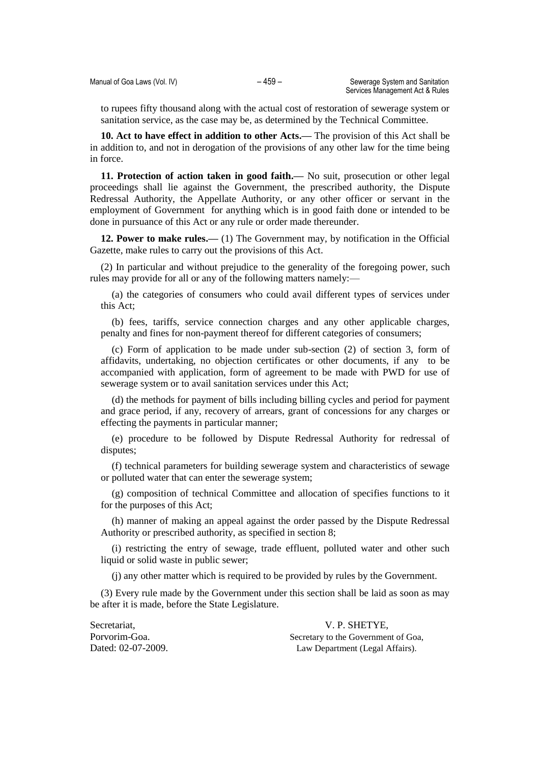to rupees fifty thousand along with the actual cost of restoration of sewerage system or sanitation service, as the case may be, as determined by the Technical Committee.

**10. Act to have effect in addition to other Acts.—** The provision of this Act shall be in addition to, and not in derogation of the provisions of any other law for the time being in force.

**11. Protection of action taken in good faith.—** No suit, prosecution or other legal proceedings shall lie against the Government, the prescribed authority, the Dispute Redressal Authority, the Appellate Authority, or any other officer or servant in the employment of Government for anything which is in good faith done or intended to be done in pursuance of this Act or any rule or order made thereunder.

**12. Power to make rules.—** (1) The Government may, by notification in the Official Gazette, make rules to carry out the provisions of this Act.

(2) In particular and without prejudice to the generality of the foregoing power, such rules may provide for all or any of the following matters namely:—

(a) the categories of consumers who could avail different types of services under this Act;

(b) fees, tariffs, service connection charges and any other applicable charges, penalty and fines for non-payment thereof for different categories of consumers;

(c) Form of application to be made under sub-section (2) of section 3, form of affidavits, undertaking, no objection certificates or other documents, if any to be accompanied with application, form of agreement to be made with PWD for use of sewerage system or to avail sanitation services under this Act;

(d) the methods for payment of bills including billing cycles and period for payment and grace period, if any, recovery of arrears, grant of concessions for any charges or effecting the payments in particular manner;

(e) procedure to be followed by Dispute Redressal Authority for redressal of disputes;

(f) technical parameters for building sewerage system and characteristics of sewage or polluted water that can enter the sewerage system;

(g) composition of technical Committee and allocation of specifies functions to it for the purposes of this Act;

(h) manner of making an appeal against the order passed by the Dispute Redressal Authority or prescribed authority, as specified in section 8;

(i) restricting the entry of sewage, trade effluent, polluted water and other such liquid or solid waste in public sewer;

(j) any other matter which is required to be provided by rules by the Government.

(3) Every rule made by the Government under this section shall be laid as soon as may be after it is made, before the State Legislature.

Secretariat,  $V. P.$  SHETYE, Porvorim-Goa. Secretary to the Government of Goa, Dated: 02-07-2009. Law Department (Legal Affairs).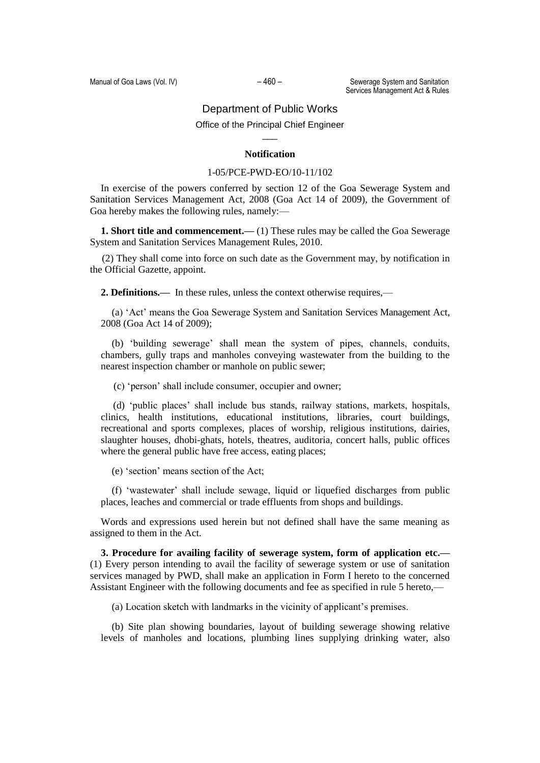Department of Public Works

## Office of the Principal Chief Engineer  $\overline{\phantom{a}}$

## **Notification**

## 1-05/PCE-PWD-EO/10-11/102

In exercise of the powers conferred by section 12 of the Goa Sewerage System and Sanitation Services Management Act, 2008 (Goa Act 14 of 2009), the Government of Goa hereby makes the following rules, namely:—

**1. Short title and commencement.**—(1) These rules may be called the Goa Sewerage System and Sanitation Services Management Rules, 2010.

(2) They shall come into force on such date as the Government may, by notification in the Official Gazette, appoint.

**2. Definitions.—** In these rules, unless the context otherwise requires,—

(a) ‗Act' means the Goa Sewerage System and Sanitation Services Management Act, 2008 (Goa Act 14 of 2009);

(b) ‗building sewerage' shall mean the system of pipes, channels, conduits, chambers, gully traps and manholes conveying wastewater from the building to the nearest inspection chamber or manhole on public sewer;

(c) ‗person' shall include consumer, occupier and owner;

(d) 'public places' shall include bus stands, railway stations, markets, hospitals, clinics, health institutions, educational institutions, libraries, court buildings, recreational and sports complexes, places of worship, religious institutions, dairies, slaughter houses, dhobi-ghats, hotels, theatres, auditoria, concert halls, public offices where the general public have free access, eating places;

(e) ‗section' means section of the Act;

(f) ‗wastewater' shall include sewage, liquid or liquefied discharges from public places, leaches and commercial or trade effluents from shops and buildings.

Words and expressions used herein but not defined shall have the same meaning as assigned to them in the Act.

**3. Procedure for availing facility of sewerage system, form of application etc.—** (1) Every person intending to avail the facility of sewerage system or use of sanitation services managed by PWD, shall make an application in Form I hereto to the concerned Assistant Engineer with the following documents and fee as specified in rule 5 hereto,—

(a) Location sketch with landmarks in the vicinity of applicant's premises.

(b) Site plan showing boundaries, layout of building sewerage showing relative levels of manholes and locations, plumbing lines supplying drinking water, also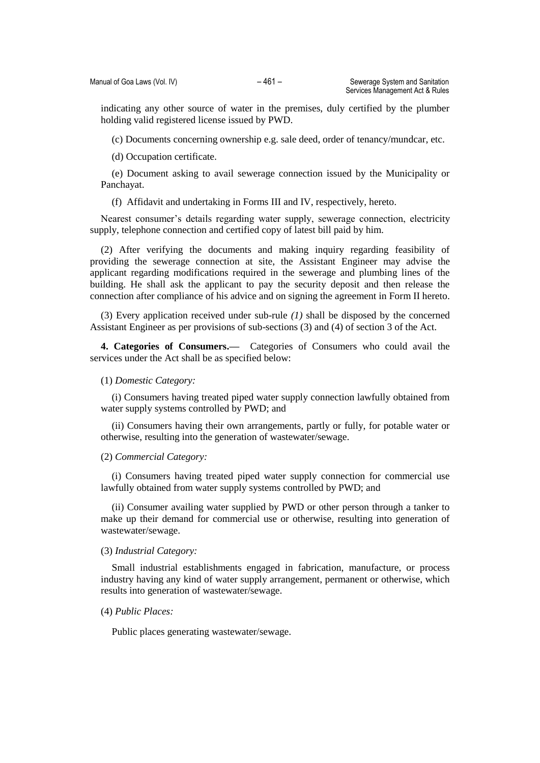indicating any other source of water in the premises, duly certified by the plumber holding valid registered license issued by PWD.

(c) Documents concerning ownership e.g. sale deed, order of tenancy/mundcar, etc.

(d) Occupation certificate.

(e) Document asking to avail sewerage connection issued by the Municipality or Panchayat.

(f) Affidavit and undertaking in Forms III and IV, respectively, hereto.

Nearest consumer's details regarding water supply, sewerage connection, electricity supply, telephone connection and certified copy of latest bill paid by him.

(2) After verifying the documents and making inquiry regarding feasibility of providing the sewerage connection at site, the Assistant Engineer may advise the applicant regarding modifications required in the sewerage and plumbing lines of the building. He shall ask the applicant to pay the security deposit and then release the connection after compliance of his advice and on signing the agreement in Form II hereto.

(3) Every application received under sub-rule *(1)* shall be disposed by the concerned Assistant Engineer as per provisions of sub-sections (3) and (4) of section 3 of the Act.

**4. Categories of Consumers.—** Categories of Consumers who could avail the services under the Act shall be as specified below:

#### (1) *Domestic Category:*

(i) Consumers having treated piped water supply connection lawfully obtained from water supply systems controlled by PWD; and

(ii) Consumers having their own arrangements, partly or fully, for potable water or otherwise, resulting into the generation of wastewater/sewage.

#### (2) *Commercial Category:*

(i) Consumers having treated piped water supply connection for commercial use lawfully obtained from water supply systems controlled by PWD; and

(ii) Consumer availing water supplied by PWD or other person through a tanker to make up their demand for commercial use or otherwise, resulting into generation of wastewater/sewage.

#### (3) *Industrial Category:*

Small industrial establishments engaged in fabrication, manufacture, or process industry having any kind of water supply arrangement, permanent or otherwise, which results into generation of wastewater/sewage.

#### (4) *Public Places:*

Public places generating wastewater/sewage.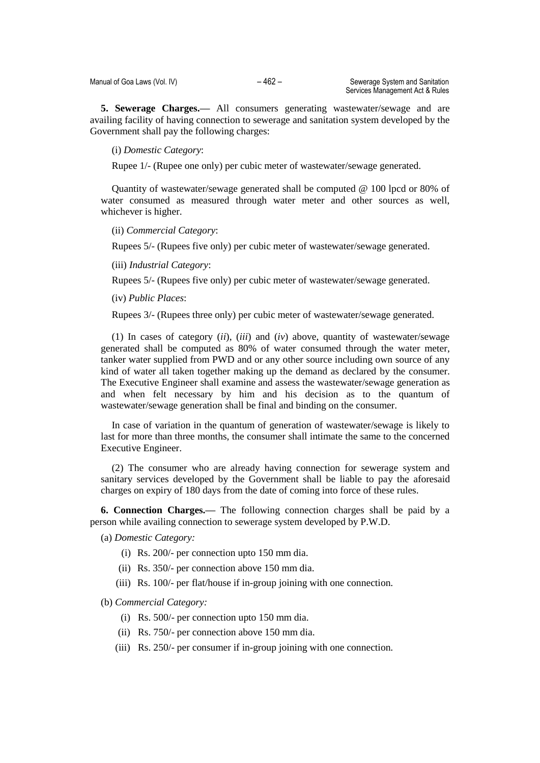**5. Sewerage Charges.—** All consumers generating wastewater/sewage and are availing facility of having connection to sewerage and sanitation system developed by the Government shall pay the following charges:

(i) *Domestic Category*:

Rupee 1/- (Rupee one only) per cubic meter of wastewater/sewage generated.

Quantity of wastewater/sewage generated shall be computed @ 100 lpcd or 80% of water consumed as measured through water meter and other sources as well, whichever is higher.

(ii) *Commercial Category*:

Rupees 5/- (Rupees five only) per cubic meter of wastewater/sewage generated.

(iii) *Industrial Category*:

Rupees 5/- (Rupees five only) per cubic meter of wastewater/sewage generated.

(iv) *Public Places*:

Rupees 3/- (Rupees three only) per cubic meter of wastewater/sewage generated.

(1) In cases of category (*ii*), (*iii*) and (*iv*) above, quantity of wastewater/sewage generated shall be computed as 80% of water consumed through the water meter, tanker water supplied from PWD and or any other source including own source of any kind of water all taken together making up the demand as declared by the consumer. The Executive Engineer shall examine and assess the wastewater/sewage generation as and when felt necessary by him and his decision as to the quantum of wastewater/sewage generation shall be final and binding on the consumer.

In case of variation in the quantum of generation of wastewater/sewage is likely to last for more than three months, the consumer shall intimate the same to the concerned Executive Engineer.

(2) The consumer who are already having connection for sewerage system and sanitary services developed by the Government shall be liable to pay the aforesaid charges on expiry of 180 days from the date of coming into force of these rules.

**6. Connection Charges.—** The following connection charges shall be paid by a person while availing connection to sewerage system developed by P.W.D.

(a) *Domestic Category:*

- (i) Rs. 200/- per connection upto 150 mm dia.
- (ii) Rs. 350/- per connection above 150 mm dia.
- (iii) Rs. 100/- per flat/house if in-group joining with one connection.

(b) *Commercial Category:*

- (i) Rs. 500/- per connection upto 150 mm dia.
- (ii) Rs. 750/- per connection above 150 mm dia.
- (iii) Rs. 250/- per consumer if in-group joining with one connection.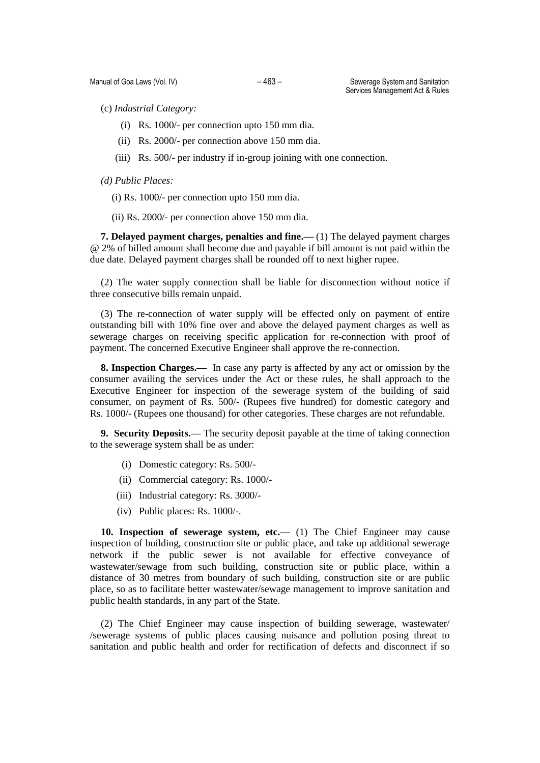(c) *Industrial Category:*

- (i) Rs. 1000/- per connection upto 150 mm dia.
- (ii) Rs. 2000/- per connection above 150 mm dia.
- (iii) Rs. 500/- per industry if in-group joining with one connection.

*(d) Public Places:*

(i) Rs. 1000/- per connection upto 150 mm dia.

(ii) Rs. 2000/- per connection above 150 mm dia.

**7. Delayed payment charges, penalties and fine.—** (1) The delayed payment charges @ 2% of billed amount shall become due and payable if bill amount is not paid within the due date. Delayed payment charges shall be rounded off to next higher rupee.

(2) The water supply connection shall be liable for disconnection without notice if three consecutive bills remain unpaid.

(3) The re-connection of water supply will be effected only on payment of entire outstanding bill with 10% fine over and above the delayed payment charges as well as sewerage charges on receiving specific application for re-connection with proof of payment. The concerned Executive Engineer shall approve the re-connection.

**8. Inspection Charges.—** In case any party is affected by any act or omission by the consumer availing the services under the Act or these rules, he shall approach to the Executive Engineer for inspection of the sewerage system of the building of said consumer, on payment of Rs. 500/- (Rupees five hundred) for domestic category and Rs. 1000/- (Rupees one thousand) for other categories. These charges are not refundable.

**9. Security Deposits.—** The security deposit payable at the time of taking connection to the sewerage system shall be as under:

- (i) Domestic category: Rs. 500/-
- (ii) Commercial category: Rs. 1000/-
- (iii) Industrial category: Rs. 3000/-
- (iv) Public places: Rs. 1000/-.

**10. Inspection of sewerage system, etc.—** (1) The Chief Engineer may cause inspection of building, construction site or public place, and take up additional sewerage network if the public sewer is not available for effective conveyance of wastewater/sewage from such building, construction site or public place, within a distance of 30 metres from boundary of such building, construction site or are public place, so as to facilitate better wastewater/sewage management to improve sanitation and public health standards, in any part of the State.

(2) The Chief Engineer may cause inspection of building sewerage, wastewater/ /sewerage systems of public places causing nuisance and pollution posing threat to sanitation and public health and order for rectification of defects and disconnect if so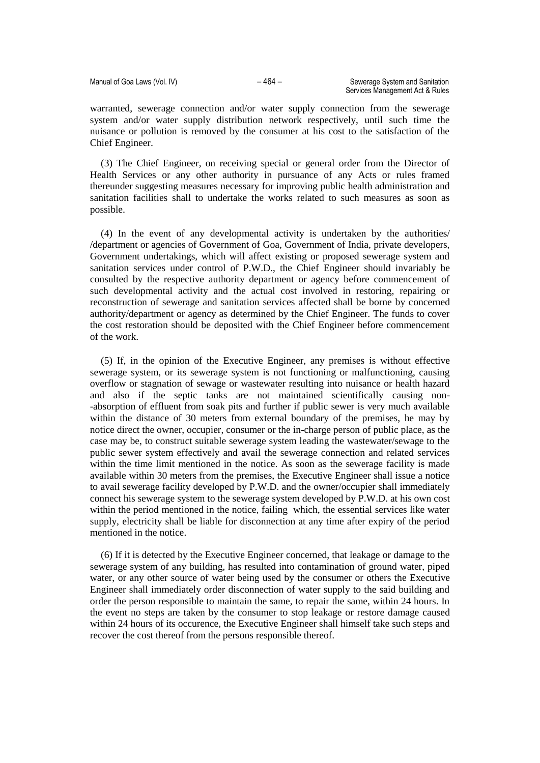warranted, sewerage connection and/or water supply connection from the sewerage system and/or water supply distribution network respectively, until such time the nuisance or pollution is removed by the consumer at his cost to the satisfaction of the Chief Engineer.

(3) The Chief Engineer, on receiving special or general order from the Director of Health Services or any other authority in pursuance of any Acts or rules framed thereunder suggesting measures necessary for improving public health administration and sanitation facilities shall to undertake the works related to such measures as soon as possible.

(4) In the event of any developmental activity is undertaken by the authorities/ /department or agencies of Government of Goa, Government of India, private developers, Government undertakings, which will affect existing or proposed sewerage system and sanitation services under control of P.W.D., the Chief Engineer should invariably be consulted by the respective authority department or agency before commencement of such developmental activity and the actual cost involved in restoring, repairing or reconstruction of sewerage and sanitation services affected shall be borne by concerned authority/department or agency as determined by the Chief Engineer. The funds to cover the cost restoration should be deposited with the Chief Engineer before commencement of the work.

(5) If, in the opinion of the Executive Engineer, any premises is without effective sewerage system, or its sewerage system is not functioning or malfunctioning, causing overflow or stagnation of sewage or wastewater resulting into nuisance or health hazard and also if the septic tanks are not maintained scientifically causing non- -absorption of effluent from soak pits and further if public sewer is very much available within the distance of 30 meters from external boundary of the premises, he may by notice direct the owner, occupier, consumer or the in-charge person of public place, as the case may be, to construct suitable sewerage system leading the wastewater/sewage to the public sewer system effectively and avail the sewerage connection and related services within the time limit mentioned in the notice. As soon as the sewerage facility is made available within 30 meters from the premises, the Executive Engineer shall issue a notice to avail sewerage facility developed by P.W.D. and the owner/occupier shall immediately connect his sewerage system to the sewerage system developed by P.W.D. at his own cost within the period mentioned in the notice, failing which, the essential services like water supply, electricity shall be liable for disconnection at any time after expiry of the period mentioned in the notice.

(6) If it is detected by the Executive Engineer concerned, that leakage or damage to the sewerage system of any building, has resulted into contamination of ground water, piped water, or any other source of water being used by the consumer or others the Executive Engineer shall immediately order disconnection of water supply to the said building and order the person responsible to maintain the same, to repair the same, within 24 hours. In the event no steps are taken by the consumer to stop leakage or restore damage caused within 24 hours of its occurence, the Executive Engineer shall himself take such steps and recover the cost thereof from the persons responsible thereof.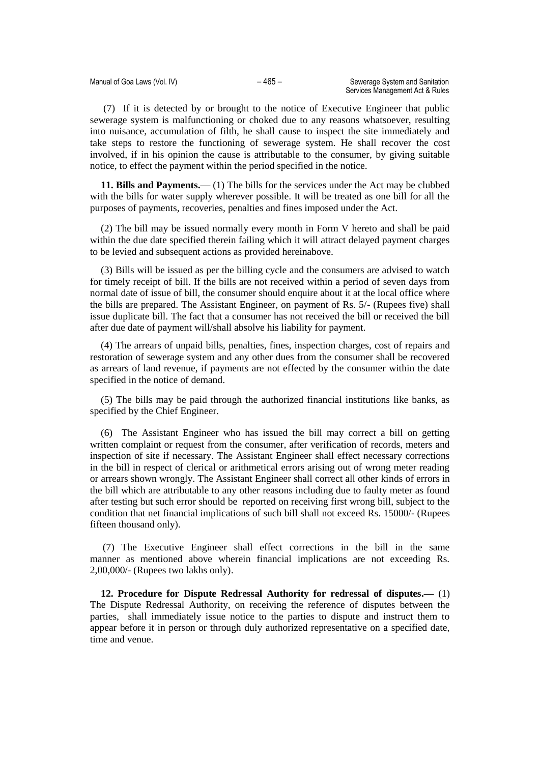| Manual of Goa Laws (Vol. IV) |  |  |  |
|------------------------------|--|--|--|
|------------------------------|--|--|--|

(7) If it is detected by or brought to the notice of Executive Engineer that public sewerage system is malfunctioning or choked due to any reasons whatsoever, resulting into nuisance, accumulation of filth, he shall cause to inspect the site immediately and take steps to restore the functioning of sewerage system. He shall recover the cost involved, if in his opinion the cause is attributable to the consumer, by giving suitable notice, to effect the payment within the period specified in the notice.

**11. Bills and Payments.—** (1) The bills for the services under the Act may be clubbed with the bills for water supply wherever possible. It will be treated as one bill for all the purposes of payments, recoveries, penalties and fines imposed under the Act.

(2) The bill may be issued normally every month in Form V hereto and shall be paid within the due date specified therein failing which it will attract delayed payment charges to be levied and subsequent actions as provided hereinabove.

(3) Bills will be issued as per the billing cycle and the consumers are advised to watch for timely receipt of bill. If the bills are not received within a period of seven days from normal date of issue of bill, the consumer should enquire about it at the local office where the bills are prepared. The Assistant Engineer, on payment of Rs. 5/- (Rupees five) shall issue duplicate bill. The fact that a consumer has not received the bill or received the bill after due date of payment will/shall absolve his liability for payment.

(4) The arrears of unpaid bills, penalties, fines, inspection charges, cost of repairs and restoration of sewerage system and any other dues from the consumer shall be recovered as arrears of land revenue, if payments are not effected by the consumer within the date specified in the notice of demand.

(5) The bills may be paid through the authorized financial institutions like banks, as specified by the Chief Engineer.

(6) The Assistant Engineer who has issued the bill may correct a bill on getting written complaint or request from the consumer, after verification of records, meters and inspection of site if necessary. The Assistant Engineer shall effect necessary corrections in the bill in respect of clerical or arithmetical errors arising out of wrong meter reading or arrears shown wrongly. The Assistant Engineer shall correct all other kinds of errors in the bill which are attributable to any other reasons including due to faulty meter as found after testing but such error should be reported on receiving first wrong bill, subject to the condition that net financial implications of such bill shall not exceed Rs. 15000/- (Rupees fifteen thousand only).

(7) The Executive Engineer shall effect corrections in the bill in the same manner as mentioned above wherein financial implications are not exceeding Rs. 2,00,000/- (Rupees two lakhs only).

**12. Procedure for Dispute Redressal Authority for redressal of disputes.—** (1) The Dispute Redressal Authority, on receiving the reference of disputes between the parties, shall immediately issue notice to the parties to dispute and instruct them to appear before it in person or through duly authorized representative on a specified date, time and venue.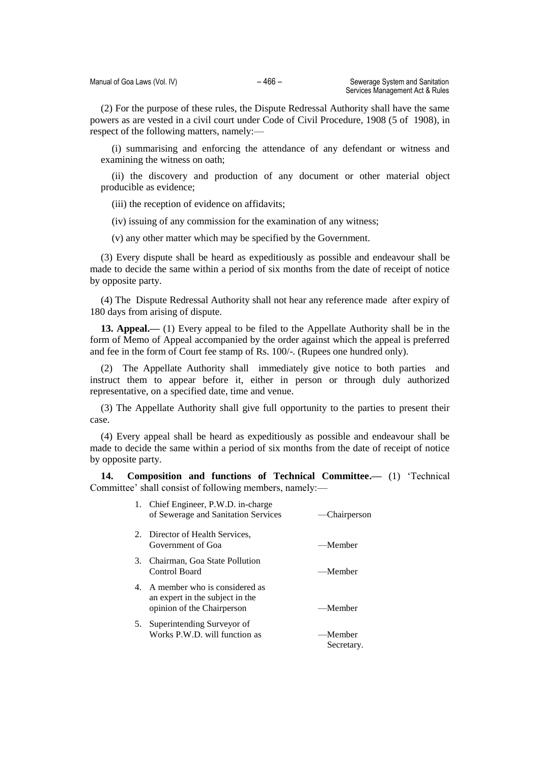(2) For the purpose of these rules, the Dispute Redressal Authority shall have the same powers as are vested in a civil court under Code of Civil Procedure, 1908 (5 of 1908), in respect of the following matters, namely:—

(i) summarising and enforcing the attendance of any defendant or witness and examining the witness on oath;

(ii) the discovery and production of any document or other material object producible as evidence;

(iii) the reception of evidence on affidavits;

(iv) issuing of any commission for the examination of any witness;

(v) any other matter which may be specified by the Government.

(3) Every dispute shall be heard as expeditiously as possible and endeavour shall be made to decide the same within a period of six months from the date of receipt of notice by opposite party.

(4) The Dispute Redressal Authority shall not hear any reference made after expiry of 180 days from arising of dispute.

**13. Appeal.—** (1) Every appeal to be filed to the Appellate Authority shall be in the form of Memo of Appeal accompanied by the order against which the appeal is preferred and fee in the form of Court fee stamp of Rs. 100/-. (Rupees one hundred only).

(2) The Appellate Authority shall immediately give notice to both parties and instruct them to appear before it, either in person or through duly authorized representative, on a specified date, time and venue.

(3) The Appellate Authority shall give full opportunity to the parties to present their case.

(4) Every appeal shall be heard as expeditiously as possible and endeavour shall be made to decide the same within a period of six months from the date of receipt of notice by opposite party.

**14. Composition and functions of Technical Committee.—** (1) ‗Technical Committee' shall consist of following members, namely:—

|    | 1. Chief Engineer, P.W.D. in-charge<br>of Sewerage and Sanitation Services                     | Chairperson           |
|----|------------------------------------------------------------------------------------------------|-----------------------|
|    | 2. Director of Health Services,<br>Government of Goa                                           | —Member               |
|    | 3. Chairman, Goa State Pollution<br>Control Board                                              | —Member               |
| 4. | A member who is considered as<br>an expert in the subject in the<br>opinion of the Chairperson | —Member               |
| 5. | Superintending Surveyor of<br>Works P.W.D. will function as                                    | —Member<br>Secretary. |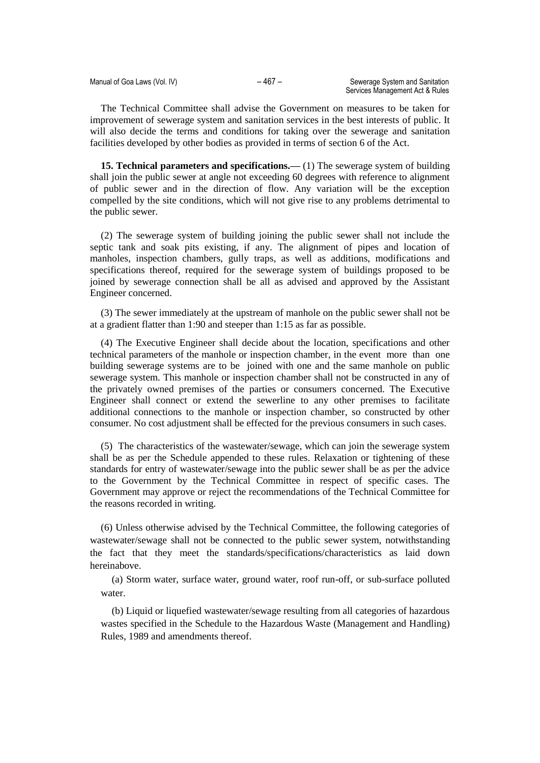| Manual of Goa Laws (Vol. IV) | $-467-$ | Sewerage System and Sanitation  |
|------------------------------|---------|---------------------------------|
|                              |         | Services Management Act & Rules |

The Technical Committee shall advise the Government on measures to be taken for improvement of sewerage system and sanitation services in the best interests of public. It will also decide the terms and conditions for taking over the sewerage and sanitation facilities developed by other bodies as provided in terms of section 6 of the Act.

**15. Technical parameters and specifications.—** (1) The sewerage system of building shall join the public sewer at angle not exceeding 60 degrees with reference to alignment of public sewer and in the direction of flow. Any variation will be the exception compelled by the site conditions, which will not give rise to any problems detrimental to the public sewer.

(2) The sewerage system of building joining the public sewer shall not include the septic tank and soak pits existing, if any. The alignment of pipes and location of manholes, inspection chambers, gully traps, as well as additions, modifications and specifications thereof, required for the sewerage system of buildings proposed to be joined by sewerage connection shall be all as advised and approved by the Assistant Engineer concerned.

(3) The sewer immediately at the upstream of manhole on the public sewer shall not be at a gradient flatter than 1:90 and steeper than 1:15 as far as possible.

(4) The Executive Engineer shall decide about the location, specifications and other technical parameters of the manhole or inspection chamber, in the event more than one building sewerage systems are to be joined with one and the same manhole on public sewerage system. This manhole or inspection chamber shall not be constructed in any of the privately owned premises of the parties or consumers concerned. The Executive Engineer shall connect or extend the sewerline to any other premises to facilitate additional connections to the manhole or inspection chamber, so constructed by other consumer. No cost adjustment shall be effected for the previous consumers in such cases.

(5) The characteristics of the wastewater/sewage, which can join the sewerage system shall be as per the Schedule appended to these rules. Relaxation or tightening of these standards for entry of wastewater/sewage into the public sewer shall be as per the advice to the Government by the Technical Committee in respect of specific cases. The Government may approve or reject the recommendations of the Technical Committee for the reasons recorded in writing.

(6) Unless otherwise advised by the Technical Committee, the following categories of wastewater/sewage shall not be connected to the public sewer system, notwithstanding the fact that they meet the standards/specifications/characteristics as laid down hereinabove.

(a) Storm water, surface water, ground water, roof run-off, or sub-surface polluted water.

(b) Liquid or liquefied wastewater/sewage resulting from all categories of hazardous wastes specified in the Schedule to the Hazardous Waste (Management and Handling) Rules, 1989 and amendments thereof.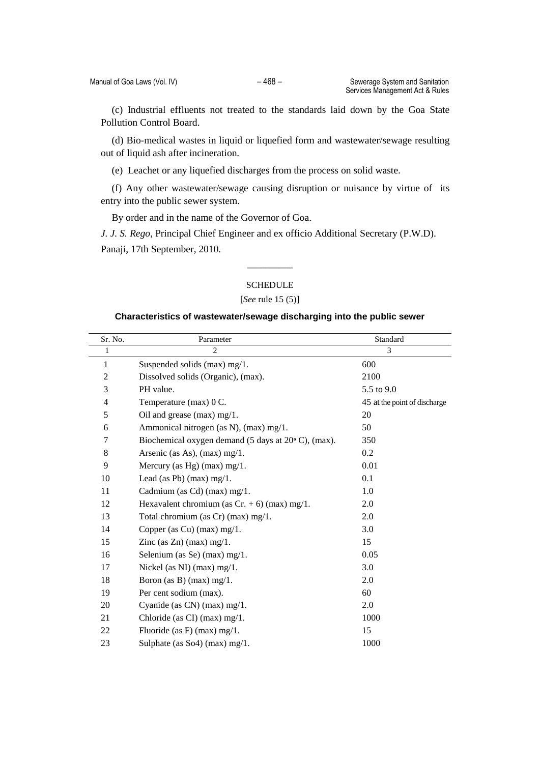(c) Industrial effluents not treated to the standards laid down by the Goa State Pollution Control Board.

(d) Bio-medical wastes in liquid or liquefied form and wastewater/sewage resulting out of liquid ash after incineration.

(e) Leachet or any liquefied discharges from the process on solid waste.

(f) Any other wastewater/sewage causing disruption or nuisance by virtue of its entry into the public sewer system.

By order and in the name of the Governor of Goa.

*J. J. S. Rego*, Principal Chief Engineer and ex officio Additional Secretary (P.W.D). Panaji, 17th September, 2010.

#### **SCHEDULE**

\_\_\_\_\_\_\_\_\_\_

## [*See* rule 15 (5)]

## **Characteristics of wastewater/sewage discharging into the public sewer**

| Sr. No.        | Parameter                                                                      | Standard                     |
|----------------|--------------------------------------------------------------------------------|------------------------------|
| 1              | $\overline{c}$                                                                 | 3                            |
| 1              | Suspended solids (max) mg/1.                                                   | 600                          |
| $\overline{2}$ | Dissolved solids (Organic), (max).                                             | 2100                         |
| 3              | PH value.                                                                      | 5.5 to 9.0                   |
| 4              | Temperature (max) 0 C.                                                         | 45 at the point of discharge |
| 5              | Oil and grease (max) $mg/1$ .                                                  | 20                           |
| 6              | Ammonical nitrogen (as N), (max) mg/1.                                         | 50                           |
| 7              | Biochemical oxygen demand $(5 \text{ days at } 20^{\circ} \text{ C})$ , (max). | 350                          |
| 8              | Arsenic (as As), (max) mg/1.                                                   | 0.2                          |
| 9              | Mercury (as Hg) (max) $mg/1$ .                                                 | 0.01                         |
| 10             | Lead (as Pb) (max) $mg/1$ .                                                    | 0.1                          |
| 11             | Cadmium (as Cd) (max) $mg/1$ .                                                 | 1.0                          |
| 12             | Hexavalent chromium (as $Cr. + 6$ ) (max) mg/1.                                | 2.0                          |
| 13             | Total chromium (as $Cr$ ) (max) mg/1.                                          | 2.0                          |
| 14             | Copper (as Cu) (max) $mg/1$ .                                                  | 3.0                          |
| 15             | Zinc (as Zn) (max) $mg/1$ .                                                    | 15                           |
| 16             | Selenium (as Se) (max) mg/1.                                                   | 0.05                         |
| 17             | Nickel (as NI) (max) $mg/1$ .                                                  | 3.0                          |
| 18             | Boron (as B) (max) $mg/1$ .                                                    | 2.0                          |
| 19             | Per cent sodium (max).                                                         | 60                           |
| 20             | Cyanide (as CN) (max) $mg/1$ .                                                 | 2.0                          |
| 21             | Chloride (as CI) (max) mg/1.                                                   | 1000                         |
| 22             | Fluoride (as F) (max) $mg/1$ .                                                 | 15                           |
| 23             | Sulphate (as So4) (max) $mg/1$ .                                               | 1000                         |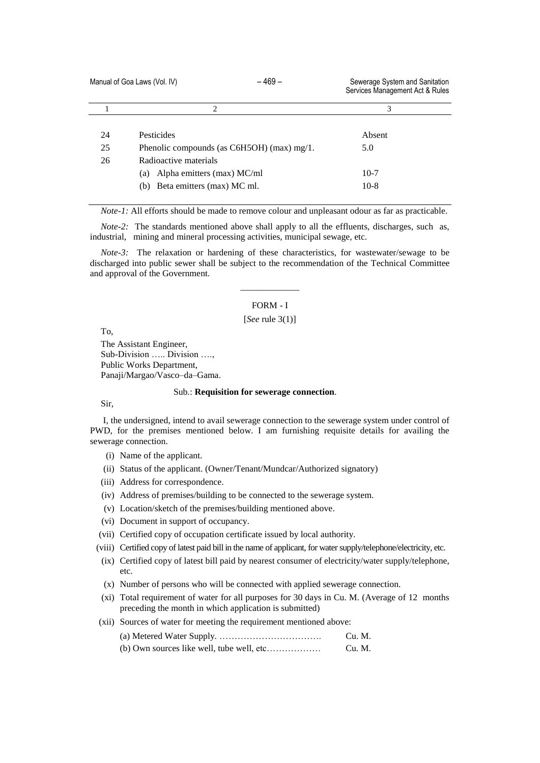| Manual of Goa Laws (Vol. IV) | $-469-$                                    | Sewerage System and Sanitation<br>Services Management Act & Rules |
|------------------------------|--------------------------------------------|-------------------------------------------------------------------|
|                              | 2                                          | 3                                                                 |
| 24                           | Pesticides                                 | Absent                                                            |
| 25                           | Phenolic compounds (as C6H5OH) (max) mg/1. | 5.0                                                               |
| 26                           | Radioactive materials                      |                                                                   |
|                              | Alpha emitters (max) MC/ml<br>(a)          | $10-7$                                                            |
|                              | (b) Beta emitters (max) MC ml.             | $10-8$                                                            |

*Note-1:* All efforts should be made to remove colour and unpleasant odour as far as practicable.

*Note-2:* The standards mentioned above shall apply to all the effluents, discharges, such as, industrial, mining and mineral processing activities, municipal sewage, etc.

*Note-3:* The relaxation or hardening of these characteristics, for wastewater/sewage to be discharged into public sewer shall be subject to the recommendation of the Technical Committee and approval of the Government.

## FORM - I

\_\_\_\_\_\_\_\_\_\_\_\_\_

#### [*See* rule 3(1)]

To,

The Assistant Engineer, Sub-Division ….. Division …., Public Works Department, Panaji/Margao/Vasco–da–Gama.

#### Sub*.*: **Requisition for sewerage connection**.

Sir,

I, the undersigned, intend to avail sewerage connection to the sewerage system under control of PWD, for the premises mentioned below. I am furnishing requisite details for availing the sewerage connection.

- (i) Name of the applicant.
- (ii) Status of the applicant. (Owner/Tenant/Mundcar/Authorized signatory)
- (iii) Address for correspondence.
- (iv) Address of premises/building to be connected to the sewerage system.
- (v) Location/sketch of the premises/building mentioned above.
- (vi) Document in support of occupancy.
- (vii) Certified copy of occupation certificate issued by local authority.
- (viii) Certified copy of latest paid bill in the name of applicant, for water supply/telephone/electricity, etc.
- (ix) Certified copy of latest bill paid by nearest consumer of electricity/water supply/telephone, etc.
- (x) Number of persons who will be connected with applied sewerage connection.
- (xi) Total requirement of water for all purposes for 30 days in Cu. M. (Average of 12 months preceding the month in which application is submitted)
- (xii) Sources of water for meeting the requirement mentioned above:

| Cu. M. |
|--------|
| Cu. M. |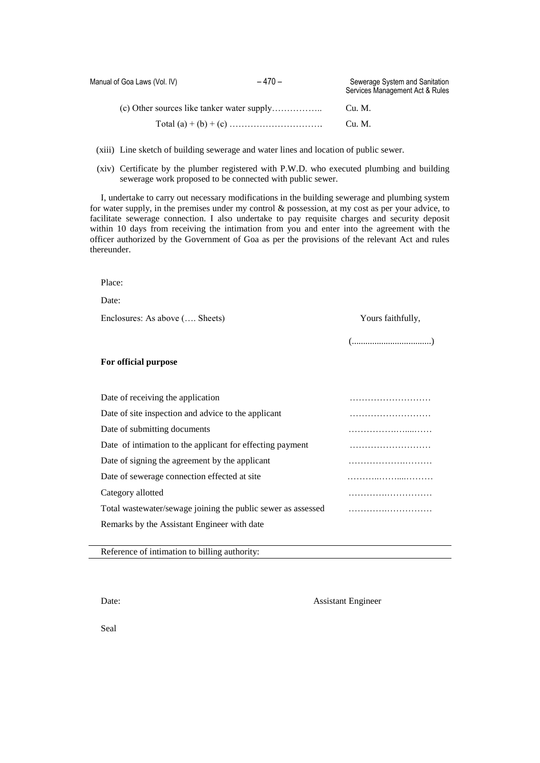| Manual of Goa Laws (Vol. IV) | $-470-$ | Sewerage System and Sanitation<br>Services Management Act & Rules |
|------------------------------|---------|-------------------------------------------------------------------|
|                              |         | Cu. M.                                                            |
|                              |         | Cu. M.                                                            |

- (xiii) Line sketch of building sewerage and water lines and location of public sewer.
- (xiv) Certificate by the plumber registered with P.W.D. who executed plumbing and building sewerage work proposed to be connected with public sewer.

I, undertake to carry out necessary modifications in the building sewerage and plumbing system for water supply, in the premises under my control & possession, at my cost as per your advice, to facilitate sewerage connection. I also undertake to pay requisite charges and security deposit within 10 days from receiving the intimation from you and enter into the agreement with the officer authorized by the Government of Goa as per the provisions of the relevant Act and rules thereunder.

Place:

Date:

Enclosures: As above (.... Sheets) Yours faithfully,

(...................................)

## **For official purpose**

| Date of receiving the application                            |  |
|--------------------------------------------------------------|--|
| Date of site inspection and advice to the applicant          |  |
| Date of submitting documents                                 |  |
| Date of intimation to the applicant for effecting payment    |  |
| Date of signing the agreement by the applicant               |  |
| Date of sewerage connection effected at site                 |  |
| Category allotted                                            |  |
| Total wastewater/sewage joining the public sewer as assessed |  |
| Remarks by the Assistant Engineer with date                  |  |
|                                                              |  |

Reference of intimation to billing authority:

Date: Assistant Engineer

Seal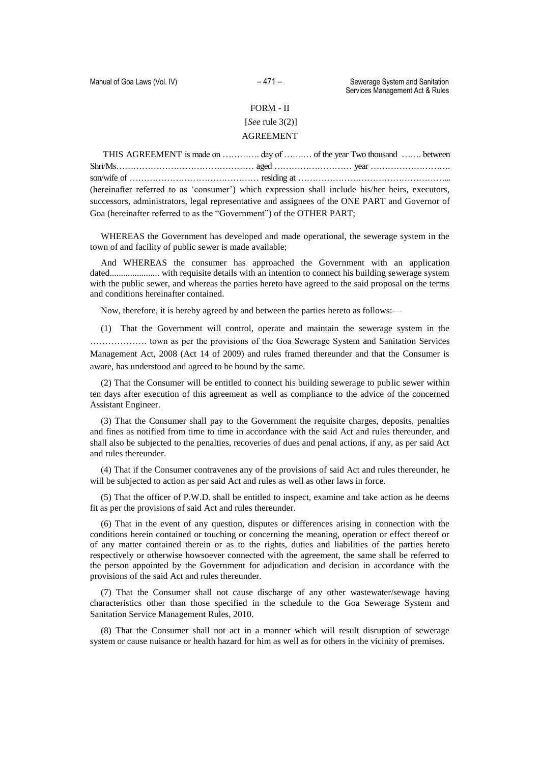# FORM - II

## [*See* rule 3(2)] AGREEMENT

THIS AGREEMENT is made on …………. day of …….… of the year Two thousand ……. between Shri/Ms………………………………………… aged ……………………… year ………………………. son/wife of ……………………………………… residing at ……………………………………………... (hereinafter referred to as ‗consumer') which expression shall include his/her heirs, executors, successors, administrators, legal representative and assignees of the ONE PART and Governor of Goa (hereinafter referred to as the "Government") of the OTHER PART;

WHEREAS the Government has developed and made operational, the sewerage system in the town of and facility of public sewer is made available;

And WHEREAS the consumer has approached the Government with an application dated...................... with requisite details with an intention to connect his building sewerage system with the public sewer, and whereas the parties hereto have agreed to the said proposal on the terms and conditions hereinafter contained.

Now, therefore, it is hereby agreed by and between the parties hereto as follows:—

(1) That the Government will control, operate and maintain the sewerage system in the ………………. town as per the provisions of the Goa Sewerage System and Sanitation Services Management Act, 2008 (Act 14 of 2009) and rules framed thereunder and that the Consumer is aware, has understood and agreed to be bound by the same.

(2) That the Consumer will be entitled to connect his building sewerage to public sewer within ten days after execution of this agreement as well as compliance to the advice of the concerned Assistant Engineer.

(3) That the Consumer shall pay to the Government the requisite charges, deposits, penalties and fines as notified from time to time in accordance with the said Act and rules thereunder, and shall also be subjected to the penalties, recoveries of dues and penal actions, if any, as per said Act and rules thereunder.

(4) That if the Consumer contravenes any of the provisions of said Act and rules thereunder, he will be subjected to action as per said Act and rules as well as other laws in force.

(5) That the officer of P.W.D. shall be entitled to inspect, examine and take action as he deems fit as per the provisions of said Act and rules thereunder.

(6) That in the event of any question, disputes or differences arising in connection with the conditions herein contained or touching or concerning the meaning, operation or effect thereof or of any matter contained therein or as to the rights, duties and liabilities of the parties hereto respectively or otherwise howsoever connected with the agreement, the same shall be referred to the person appointed by the Government for adjudication and decision in accordance with the provisions of the said Act and rules thereunder.

(7) That the Consumer shall not cause discharge of any other wastewater/sewage having characteristics other than those specified in the schedule to the Goa Sewerage System and Sanitation Service Management Rules, 2010.

(8) That the Consumer shall not act in a manner which will result disruption of sewerage system or cause nuisance or health hazard for him as well as for others in the vicinity of premises.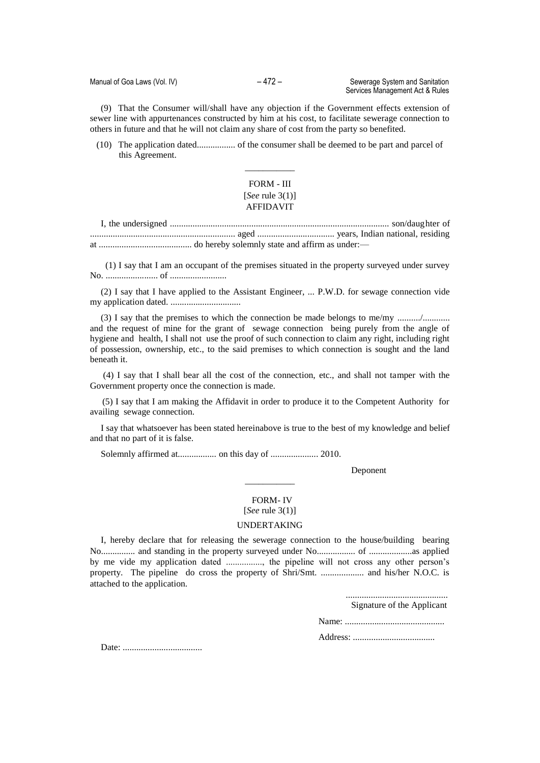(9) That the Consumer will/shall have any objection if the Government effects extension of sewer line with appurtenances constructed by him at his cost, to facilitate sewerage connection to others in future and that he will not claim any share of cost from the party so benefited.

(10) The application dated................. of the consumer shall be deemed to be part and parcel of this Agreement.  $\overline{\phantom{a}}$  , where  $\overline{\phantom{a}}$ 

# FORM - III [*See* rule 3(1)] AFFIDAVIT I, the undersigned ................................................................................................. son/daughter of ................................................................ aged .................................. years, Indian national, residing at ......................................... do hereby solemnly state and affirm as under:—

 (1) I say that I am an occupant of the premises situated in the property surveyed under survey No. ....................... of .........................

(2) I say that I have applied to the Assistant Engineer, ... P.W.D. for sewage connection vide my application dated. ...............................

(3) I say that the premises to which the connection be made belongs to me/my .........../........... and the request of mine for the grant of sewage connection being purely from the angle of hygiene and health, I shall not use the proof of such connection to claim any right, including right of possession, ownership, etc., to the said premises to which connection is sought and the land beneath it.

(4) I say that I shall bear all the cost of the connection, etc., and shall not tamper with the Government property once the connection is made.

(5) I say that I am making the Affidavit in order to produce it to the Competent Authority for availing sewage connection.

I say that whatsoever has been stated hereinabove is true to the best of my knowledge and belief and that no part of it is false.

Solemnly affirmed at................. on this day of ..................... 2010.

Deponent

#### FORM- IV [*See* rule 3(1)]

 $\overline{\phantom{a}}$  , where  $\overline{\phantom{a}}$ 

#### UNDERTAKING

I, hereby declare that for releasing the sewerage connection to the house/building bearing No............... and standing in the property surveyed under No................. of ...................as applied by me vide my application dated ................, the pipeline will not cross any other person's property. The pipeline do cross the property of Shri/Smt. ................... and his/her N.O.C. is attached to the application.

> Signature of the Applicant Name: ............................................ Address: ....................................

.............................................

Date: ...................................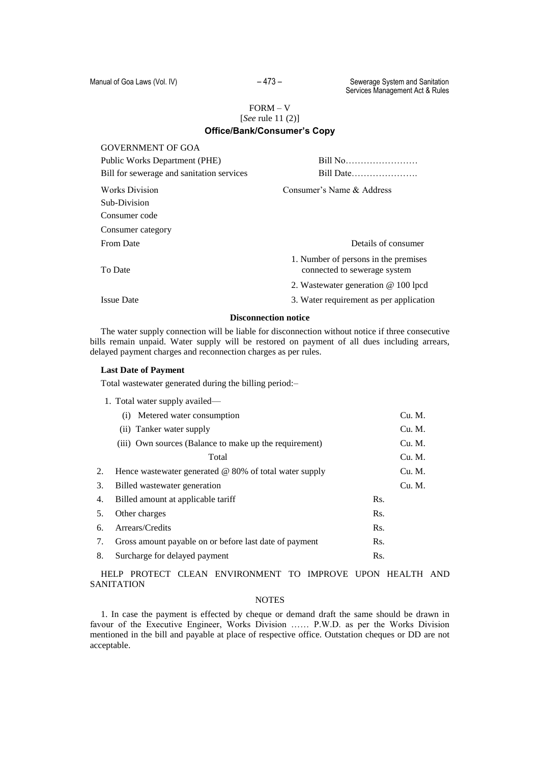Manual of Goa Laws (Vol. IV) – The Solution of Goa Laws (Vol. IV) – 473 – Sewerage System and Sanitation Services Management Act & Rules

# FORM – V [*See* rule 11 (2)] **Office/Bank/Consumer's Copy**

| Bill No                                                              |
|----------------------------------------------------------------------|
| Bill Date                                                            |
| Consumer's Name & Address                                            |
|                                                                      |
|                                                                      |
|                                                                      |
| Details of consumer                                                  |
| 1. Number of persons in the premises<br>connected to sewerage system |
| 2. Wastewater generation $@100$ lpcd                                 |
| 3. Water requirement as per application                              |
|                                                                      |

#### **Disconnection notice**

The water supply connection will be liable for disconnection without notice if three consecutive bills remain unpaid. Water supply will be restored on payment of all dues including arrears, delayed payment charges and reconnection charges as per rules.

#### **Last Date of Payment**

Total wastewater generated during the billing period:–

|                                                        | 1. Total water supply availed—                                 |        |        |
|--------------------------------------------------------|----------------------------------------------------------------|--------|--------|
| Metered water consumption<br>(i)                       |                                                                |        | Cu. M. |
|                                                        | (ii) Tanker water supply                                       |        | Cu. M. |
| (iii) Own sources (Balance to make up the requirement) |                                                                | Cu. M. |        |
|                                                        | Total                                                          |        | Cu. M. |
| 2.                                                     | Hence was tewater generated $\omega$ 80% of total water supply |        | Cu. M. |
| 3.                                                     | Billed wastewater generation                                   |        | Cu. M. |
| 4.                                                     | Billed amount at applicable tariff                             | Rs.    |        |
| 5.                                                     | Other charges                                                  | Rs.    |        |
| 6.                                                     | Arrears/Credits                                                | Rs.    |        |
| 7.                                                     | Gross amount payable on or before last date of payment         | Rs.    |        |
| 8.                                                     | Surcharge for delayed payment                                  | Rs.    |        |
|                                                        |                                                                |        |        |

HELP PROTECT CLEAN ENVIRONMENT TO IMPROVE UPON HEALTH AND **SANITATION** 

#### NOTES

1. In case the payment is effected by cheque or demand draft the same should be drawn in favour of the Executive Engineer, Works Division …… P.W.D. as per the Works Division mentioned in the bill and payable at place of respective office. Outstation cheques or DD are not acceptable.